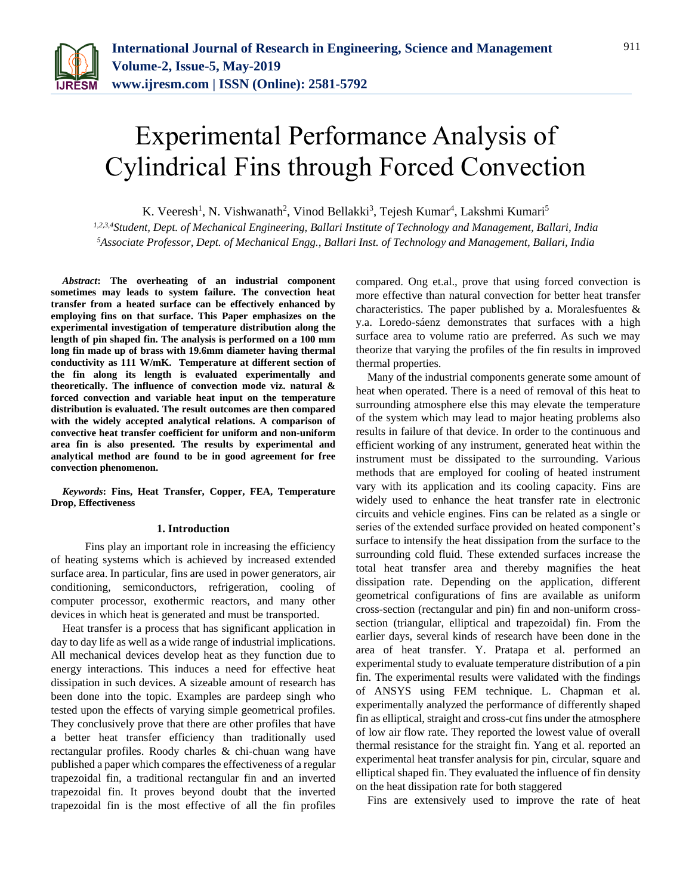

# Experimental Performance Analysis of Cylindrical Fins through Forced Convection

K. Veeresh<sup>1</sup>, N. Vishwanath<sup>2</sup>, Vinod Bellakki<sup>3</sup>, Tejesh Kumar<sup>4</sup>, Lakshmi Kumari<sup>5</sup>

*1,2,3,4Student, Dept. of Mechanical Engineering, Ballari Institute of Technology and Management, Ballari, India <sup>5</sup>Associate Professor, Dept. of Mechanical Engg., Ballari Inst. of Technology and Management, Ballari, India*

*Abstract***: The overheating of an industrial component sometimes may leads to system failure. The convection heat transfer from a heated surface can be effectively enhanced by employing fins on that surface. This Paper emphasizes on the experimental investigation of temperature distribution along the length of pin shaped fin. The analysis is performed on a 100 mm long fin made up of brass with 19.6mm diameter having thermal conductivity as 111 W/mK. Temperature at different section of the fin along its length is evaluated experimentally and theoretically. The influence of convection mode viz. natural & forced convection and variable heat input on the temperature distribution is evaluated. The result outcomes are then compared with the widely accepted analytical relations. A comparison of convective heat transfer coefficient for uniform and non-uniform area fin is also presented. The results by experimental and analytical method are found to be in good agreement for free convection phenomenon.**

*Keywords***: Fins, Heat Transfer, Copper, FEA, Temperature Drop, Effectiveness**

#### **1. Introduction**

 Fins play an important role in increasing the efficiency of heating systems which is achieved by increased extended surface area. In particular, fins are used in power generators, air conditioning, semiconductors, refrigeration, cooling of computer processor, exothermic reactors, and many other devices in which heat is generated and must be transported.

Heat transfer is a process that has significant application in day to day life as well as a wide range of industrial implications. All mechanical devices develop heat as they function due to energy interactions. This induces a need for effective heat dissipation in such devices. A sizeable amount of research has been done into the topic. Examples are pardeep singh who tested upon the effects of varying simple geometrical profiles. They conclusively prove that there are other profiles that have a better heat transfer efficiency than traditionally used rectangular profiles. Roody charles & chi-chuan wang have published a paper which compares the effectiveness of a regular trapezoidal fin, a traditional rectangular fin and an inverted trapezoidal fin. It proves beyond doubt that the inverted trapezoidal fin is the most effective of all the fin profiles

compared. Ong et.al., prove that using forced convection is more effective than natural convection for better heat transfer characteristics. The paper published by a. Moralesfuentes & y.a. Loredo-sáenz demonstrates that surfaces with a high surface area to volume ratio are preferred. As such we may theorize that varying the profiles of the fin results in improved thermal properties.

Many of the industrial components generate some amount of heat when operated. There is a need of removal of this heat to surrounding atmosphere else this may elevate the temperature of the system which may lead to major heating problems also results in failure of that device. In order to the continuous and efficient working of any instrument, generated heat within the instrument must be dissipated to the surrounding. Various methods that are employed for cooling of heated instrument vary with its application and its cooling capacity. Fins are widely used to enhance the heat transfer rate in electronic circuits and vehicle engines. Fins can be related as a single or series of the extended surface provided on heated component's surface to intensify the heat dissipation from the surface to the surrounding cold fluid. These extended surfaces increase the total heat transfer area and thereby magnifies the heat dissipation rate. Depending on the application, different geometrical configurations of fins are available as uniform cross-section (rectangular and pin) fin and non-uniform crosssection (triangular, elliptical and trapezoidal) fin. From the earlier days, several kinds of research have been done in the area of heat transfer. Y. Pratapa et al. performed an experimental study to evaluate temperature distribution of a pin fin. The experimental results were validated with the findings of ANSYS using FEM technique. L. Chapman et al. experimentally analyzed the performance of differently shaped fin as elliptical, straight and cross-cut fins under the atmosphere of low air flow rate. They reported the lowest value of overall thermal resistance for the straight fin. Yang et al. reported an experimental heat transfer analysis for pin, circular, square and elliptical shaped fin. They evaluated the influence of fin density on the heat dissipation rate for both staggered

Fins are extensively used to improve the rate of heat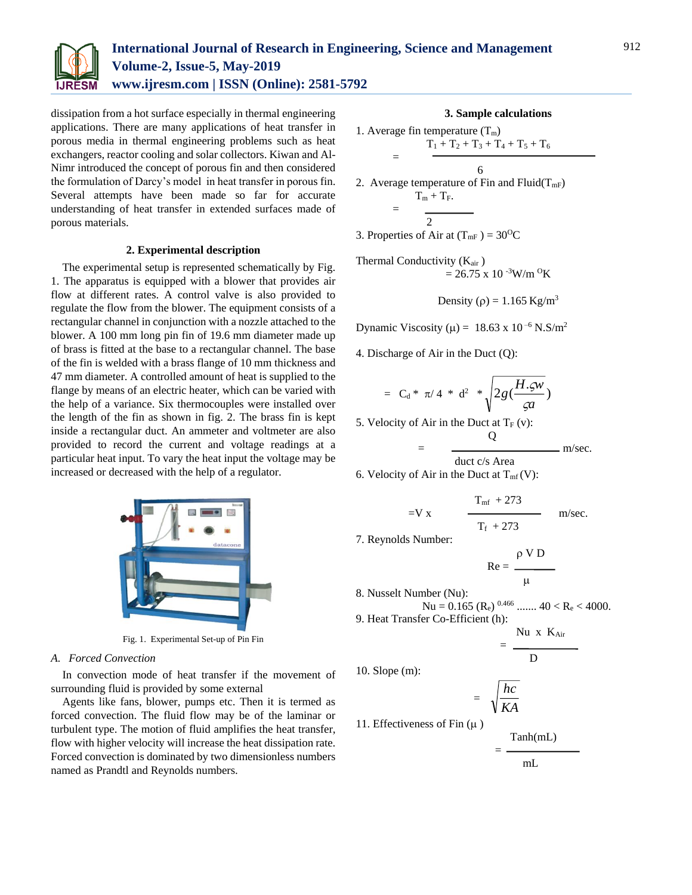

dissipation from a hot surface especially in thermal engineering applications. There are many applications of heat transfer in porous media in thermal engineering problems such as heat exchangers, reactor cooling and solar collectors. Kiwan and Al-Nimr introduced the concept of porous fin and then considered the formulation of Darcy's model in heat transfer in porous fin. Several attempts have been made so far for accurate understanding of heat transfer in extended surfaces made of porous materials.

# **2. Experimental description**

The experimental setup is represented schematically by Fig. 1. The apparatus is equipped with a blower that provides air flow at different rates. A control valve is also provided to regulate the flow from the blower. The equipment consists of a rectangular channel in conjunction with a nozzle attached to the blower. A 100 mm long pin fin of 19.6 mm diameter made up of brass is fitted at the base to a rectangular channel. The base of the fin is welded with a brass flange of 10 mm thickness and 47 mm diameter. A controlled amount of heat is supplied to the flange by means of an electric heater, which can be varied with the help of a variance. Six thermocouples were installed over the length of the fin as shown in fig. 2. The brass fin is kept inside a rectangular duct. An ammeter and voltmeter are also provided to record the current and voltage readings at a particular heat input. To vary the heat input the voltage may be increased or decreased with the help of a regulator.



Fig. 1. Experimental Set-up of Pin Fin

## *A. Forced Convection*

In convection mode of heat transfer if the movement of surrounding fluid is provided by some external

Agents like fans, blower, pumps etc. Then it is termed as forced convection. The fluid flow may be of the laminar or turbulent type. The motion of fluid amplifies the heat transfer, flow with higher velocity will increase the heat dissipation rate. Forced convection is dominated by two dimensionless numbers named as Prandtl and Reynolds numbers.

#### **3. Sample calculations**

1. Average fin temperature 
$$
(T_m)
$$
  
= 
$$
\frac{T_1 + T_2 + T_3 + T_4 + T_5 + T_6}{6}
$$

- 2. Average temperature of Fin and Fluid $(T_{\text{mF}})$  $T_m + T_F$ . = 2
- 3. Properties of Air at  $(T_{\text{mF}}) = 30^{\circ}\text{C}$

Thermal Conductivity (Kair )  $= 26.75$  x 10<sup>-3</sup>W/m<sup>o</sup>K

Density 
$$
(\rho) = 1.165
$$
 Kg/m<sup>3</sup>

Dynamic Viscosity ( $\mu$ ) = 18.63 x 10<sup>-6</sup> N.S/m<sup>2</sup>

4. Discharge of Air in the Duct (Q):

$$
= C_d * \pi / 4 * d^2 * \sqrt{2g(\frac{H.\varphi w}{\zeta a})}
$$

5. Velocity of Air in the Duct at  $T_F(v)$ :

$$
= \qquad \qquad \underline{\qquad m/sec.}
$$

duct c/s Area

\n6. Velocity of Air in the Duct at 
$$
T_{\text{mf}}(V)
$$
:

Q

$$
\mathcal{L} = \mathcal{L} \left( \mathcal{L} \right)
$$

$$
= V x
$$
  $\frac{1}{T_f + 273}$  m/sec.

 $T_{\rm mf}$  + 273

7. Reynolds Number:

$$
Re = \frac{\rho \, V \, D}{}
$$

8. Nusselt Number (Nu): 
$$
\mu
$$

 $Nu = 0.165$  ( $R_e$ )  $^{0.466}$  .......  $40 < R_e < 4000$ . 9. Heat Transfer Co-Efficient (h):

$$
= \frac{Nu \times K_{Air}}{}
$$

$$
\mathbf{D}^{\mathbf{p}}(\mathbf{D})
$$

10. Slope (m):

$$
= \sqrt{\frac{hc}{KA}}
$$

=

11. Effectiveness of Fin  $(\mu)$ 

$$
- \tTanh(mL)
$$

$$
\mathbf{m} \mathbf{L}
$$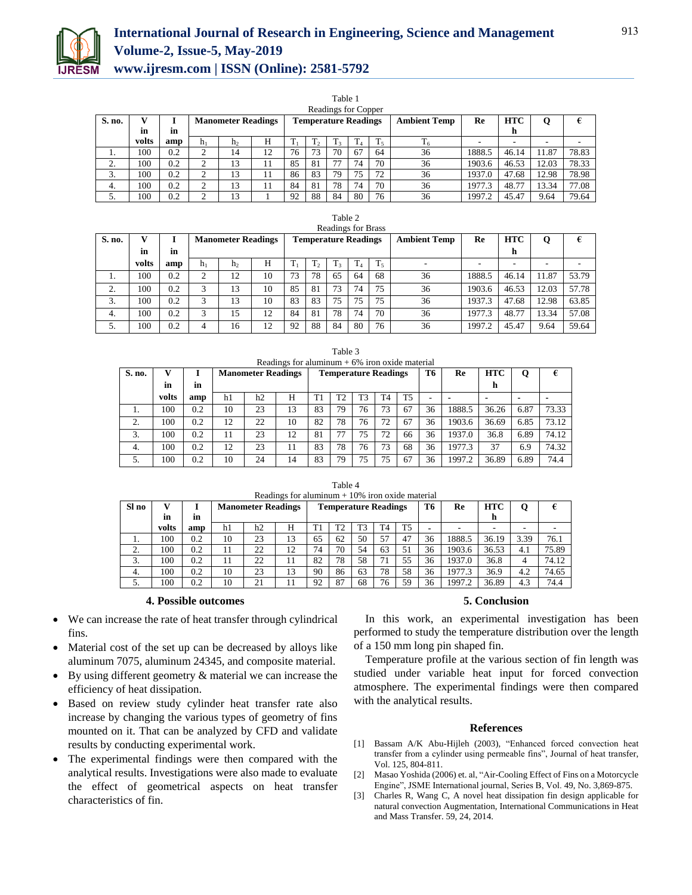

# **International Journal of Research in Engineering, Science and Management Volume-2, Issue-5, May-2019 www.ijresm.com | ISSN (Online): 2581-5792**

| Table 1<br>Readings for Copper |       |     |        |                           |    |    |                             |                     |    |         |                     |        |                 |       |       |
|--------------------------------|-------|-----|--------|---------------------------|----|----|-----------------------------|---------------------|----|---------|---------------------|--------|-----------------|-------|-------|
| S. no.                         | în    | in. |        | <b>Manometer Readings</b> |    |    | <b>Temperature Readings</b> |                     |    |         | <b>Ambient Temp</b> | Re     | <b>HTC</b><br>h | Q     | €     |
|                                | volts | amp | $h_1$  | h <sub>2</sub>            | Н  |    | ᠇᠇<br>$\mathbf{L}$          | m<br>1 <sup>2</sup> |    | $T_{5}$ | $T_6$               | -      | -               | -     | -     |
| .,                             | 100   | 0.2 | ◠      | 14                        | 12 | 76 | 73                          | 70                  | 67 | 64      | 36                  | 1888.5 | 46.14           | 11.87 | 78.83 |
| $\sim$<br>٠.                   | 100   | 0.2 | ◠      | 13                        |    | 85 | 81                          | 77                  | 74 | 70      | 36                  | 1903.6 | 46.53           | 12.03 | 78.33 |
| 3.                             | 100   | 0.2 | ◠      | 13                        |    | 86 | 83                          | 79                  | 75 | 72      | 36                  | 1937.0 | 47.68           | 12.98 | 78.98 |
| 4.                             | 100   | 0.2 | ◠<br>∠ | 13                        |    | 84 | 81                          | 78                  | 74 | 70      | 36                  | 1977.3 | 48.77           | 13.34 | 77.08 |
| 5.                             | 100   | 0.2 | ◠<br>∠ | 13                        |    | 92 | 88                          | 84                  | 80 | 76      | 36                  | 1997.2 | 45.47           | 9.64  | 79.64 |

Table 2

|         | <b>Readings for Brass</b> |     |                           |                             |    |    |              |          |                     |         |            |        |       |       |       |
|---------|---------------------------|-----|---------------------------|-----------------------------|----|----|--------------|----------|---------------------|---------|------------|--------|-------|-------|-------|
| S. no.  |                           |     | <b>Manometer Readings</b> | <b>Temperature Readings</b> |    |    |              |          | <b>Ambient Temp</b> | Re      | <b>HTC</b> |        | €     |       |       |
|         | in                        | in  |                           |                             |    |    |              |          |                     |         |            |        | h     |       |       |
|         | volts                     | amp | $h_1$                     | h <sub>2</sub>              | Н  | ᠇᠇ | $\mathbf{1}$ | m.<br>12 | m<br>14             | $T_{5}$ |            |        |       |       |       |
| .,      | 100                       | 0.2 | ◠                         | 12                          | 10 | 73 | 78           | 65       | 64                  | 68      | 36         | 1888.5 | 46.14 | 11.87 | 53.79 |
| ◠<br>۷. | 100                       | 0.2 | 3                         | 13                          | 10 | 85 | 81           | 73       | 74                  | 75      | 36         | 1903.6 | 46.53 | 12.03 | 57.78 |
| 3.      | 100                       | 0.2 | $\overline{\mathbf{a}}$   | 13                          | 10 | 83 | 83           | 75       | 75                  | 75      | 36         | 1937.3 | 47.68 | 12.98 | 63.85 |
| 4.      | 100                       | 0.2 | 3                         | 15                          | 12 | 84 | 81           | 78       | 74                  | 70      | 36         | 1977.3 | 48.77 | 13.34 | 57.08 |
| 5.      | 100                       | 0.2 |                           | 16                          | 12 | 92 | 88           | 84       | 80                  | 76      | 36         | 1997.2 | 45.47 | 9.64  | 59.64 |

|          | Table 3                                          |     |    |                           |    |    |    |    |                             |    |    |        |            |                          |       |
|----------|--------------------------------------------------|-----|----|---------------------------|----|----|----|----|-----------------------------|----|----|--------|------------|--------------------------|-------|
|          | Readings for aluminum $+6\%$ iron oxide material |     |    |                           |    |    |    |    |                             |    |    |        |            |                          |       |
| S. no.   |                                                  |     |    | <b>Manometer Readings</b> |    |    |    |    | <b>Temperature Readings</b> |    | T6 | Re     | <b>HTC</b> | O                        |       |
|          | in                                               | in  |    |                           |    |    |    |    |                             |    | h  |        |            |                          |       |
|          | volts                                            | amp | h1 | h2                        | H  | T1 | T2 | T3 | T4                          | T5 | -  |        |            | $\overline{\phantom{0}}$ |       |
| ı.       | 100                                              | 0.2 | 10 | 23                        | 13 | 83 | 79 | 76 | 73                          | 67 | 36 | 1888.5 | 36.26      | 6.87                     | 73.33 |
| $\gamma$ | 100                                              | 0.2 | 12 | 22                        | 10 | 82 | 78 | 76 | 72                          | 67 | 36 | 1903.6 | 36.69      | 6.85                     | 73.12 |
| 3.       | 100                                              | 0.2 | 11 | 23                        | 12 | 81 | 77 | 75 | 72                          | 66 | 36 | 1937.0 | 36.8       | 6.89                     | 74.12 |
| 4.       | 100                                              | 0.2 | 12 | 23                        | 11 | 83 | 78 | 76 | 73                          | 68 | 36 | 1977.3 | 37         | 6.9                      | 74.32 |
|          | 100                                              | 0.2 | 10 | 24                        | 14 | 83 | 79 | 75 | 75                          | 67 | 36 | 1997.2 | 36.89      | 6.89                     | 74.4  |

|                                                   | volts | amp | h1 | h2                        | н  | T1                          | T <sub>2</sub> | T3 | T4 | T <sub>5</sub> | ۰  |        | -          | ۰    |       |
|---------------------------------------------------|-------|-----|----|---------------------------|----|-----------------------------|----------------|----|----|----------------|----|--------|------------|------|-------|
|                                                   | in    | in  |    |                           |    |                             |                |    |    |                |    |        | h          |      |       |
| Sl no                                             |       |     |    | <b>Manometer Readings</b> |    | <b>Temperature Readings</b> |                |    |    |                | T6 | Re     | <b>HTC</b> | Q    | €     |
| Readings for aluminum $+10\%$ iron oxide material |       |     |    |                           |    |                             |                |    |    |                |    |        |            |      |       |
| Table 4                                           |       |     |    |                           |    |                             |                |    |    |                |    |        |            |      |       |
| 5.                                                | 100   | 0.2 | 10 | 24                        | 14 | 83                          | 79             | 75 | 75 | 67             | 36 | 1997.2 | 36.89      | 6.89 | 74.4  |
| 4.                                                | 100   | 0.2 | 12 | 23                        | 11 | 83                          | 78             | 76 | 73 | 68             | 36 | 1977.3 | 37         | 6.9  | 74.32 |
| 3.                                                | 100   | 0.2 | 11 | 23                        | 12 | 81                          | 77             | 75 | 72 | 66             | 36 | 1937.0 | 36.8       | 6.89 | 74.12 |
| $\mathcal{L}$<br>z.                               | 100   | 0.2 | 12 | 22                        | 10 | 82                          | 78             | 76 | 72 | 67             | 36 | 1903.6 | 36.69      | 6.85 | 73.12 |
|                                                   |       |     |    |                           |    |                             |                |    |    |                |    |        |            |      |       |

1. | 100 | 0.2 | 10 | 23 | 13 | 65 | 62 | 50 | 57 | 47 | 36 | 1888.5 | 36.19 | 3.39 | 76.1 2. | 100 | 0.2 | 11 | 22 | 12 | 74 | 70 | 54 | 63 | 51 | 36 | 1903.6 | 36.53 | 4.1 | 75.89 3. 100 0.2 11 22 11 82 78 58 71 55 36 1937.0 36.8 4 74.12 4. | 100 | 0.2 | 10 | 23 | 13 | 90 | 86 | 63 | 78 | 58 | 36 | 1977.3 | 36.9 | 4.2 | 74.65 5. 100 0.2 10 21 11 92 87 68 76 59 36 1997.2 36.89 4.3 74.4

#### **4. Possible outcomes**

- We can increase the rate of heat transfer through cylindrical fins.
- Material cost of the set up can be decreased by alloys like aluminum 7075, aluminum 24345, and composite material.
- By using different geometry & material we can increase the efficiency of heat dissipation.
- Based on review study cylinder heat transfer rate also increase by changing the various types of geometry of fins mounted on it. That can be analyzed by CFD and validate results by conducting experimental work.
- The experimental findings were then compared with the analytical results. Investigations were also made to evaluate the effect of geometrical aspects on heat transfer characteristics of fin.

#### **5. Conclusion**

913

In this work, an experimental investigation has been performed to study the temperature distribution over the length of a 150 mm long pin shaped fin.

Temperature profile at the various section of fin length was studied under variable heat input for forced convection atmosphere. The experimental findings were then compared with the analytical results.

## **References**

- [1] Bassam A/K Abu-Hijleh (2003), "Enhanced forced convection heat transfer from a cylinder using permeable fins", Journal of heat transfer, Vol. 125, 804-811.
- [2] Masao Yoshida (2006) et. al, "Air-Cooling Effect of Fins on a Motorcycle Engine", JSME International journal, Series B, Vol. 49, No. 3,869-875.
- [3] Charles R, Wang C, A novel heat dissipation fin design applicable for natural convection Augmentation, International Communications in Heat and Mass Transfer. 59, 24, 2014.